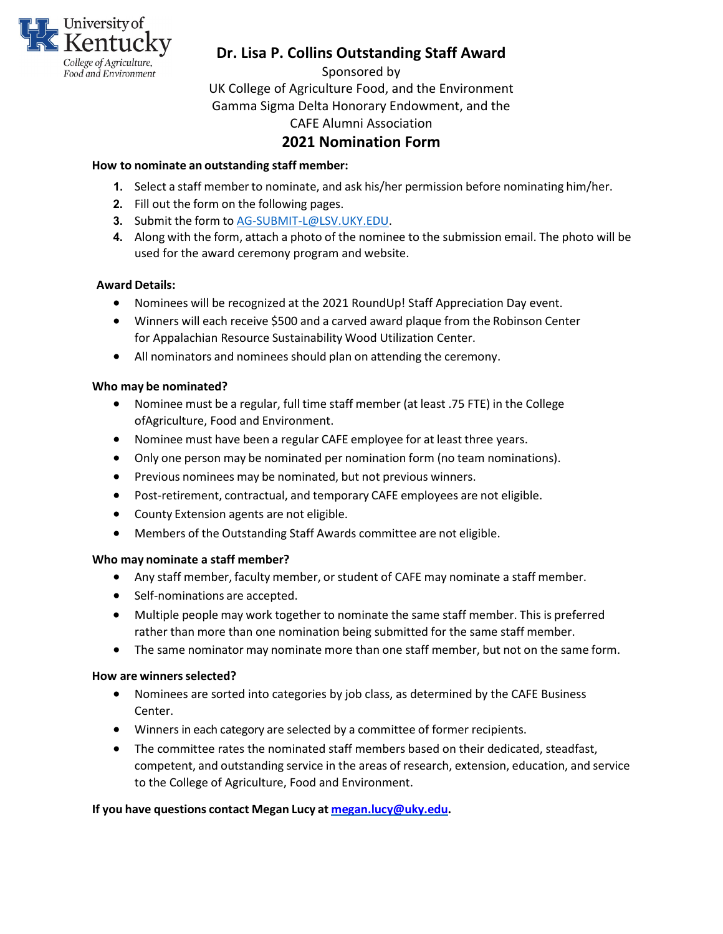

Sponsored by

UK College of Agriculture Food, and the Environment Gamma Sigma Delta Honorary Endowment, and the CAFE Alumni Association

### **2021 Nomination Form**

#### **How to nominate an outstanding staff member:**

- **1.** Select a staff member to nominate, and ask his/her permission before nominating him/her.
- **2.** Fill out the form on the following pages.
- **3.** Submit the form to [AG-SUBMIT-L@LSV.UKY.EDU.](mailto:AG-SUBMIT-L@LSV.UKY.EDU)
- **4.** Along with the form, attach a photo of the nominee to the submission email. The photo will be used for the award ceremony program and website.

#### **Award Details:**

- Nominees will be recognized at the 2021 RoundUp! Staff Appreciation Day event.
- Winners will each receive \$500 and a carved award plaque from the Robinson Center for Appalachian Resource Sustainability Wood Utilization Center.
- All nominators and nominees should plan on attending the ceremony.

#### **Who may be nominated?**

- Nominee must be a regular, full time staff member (at least .75 FTE) in the College ofAgriculture, Food and Environment.
- Nominee must have been a regular CAFE employee for at least three years.
- Only one person may be nominated per nomination form (no team nominations).
- Previous nominees may be nominated, but not previous winners.
- Post-retirement, contractual, and temporary CAFE employees are not eligible.
- County Extension agents are not eligible.
- Members of the Outstanding Staff Awards committee are not eligible.

#### **Who may nominate a staff member?**

- Any staff member, faculty member, or student of CAFE may nominate a staff member.
- Self-nominations are accepted.
- Multiple people may work together to nominate the same staff member. This is preferred rather than more than one nomination being submitted for the same staff member.
- The same nominator may nominate more than one staff member, but not on the same form.

#### **How are winners selected?**

- Nominees are sorted into categories by job class, as determined by the CAFE Business Center.
- Winners in each category are selected by a committee of former recipients.
- The committee rates the nominated staff members based on their dedicated, steadfast, competent, and outstanding service in the areas of research, extension, education, and service to the College of Agriculture, Food and Environment.

#### **If you have questions contact Megan Lucy at [megan.lucy@uky.edu.](mailto:megan.lucy@uky.edu)**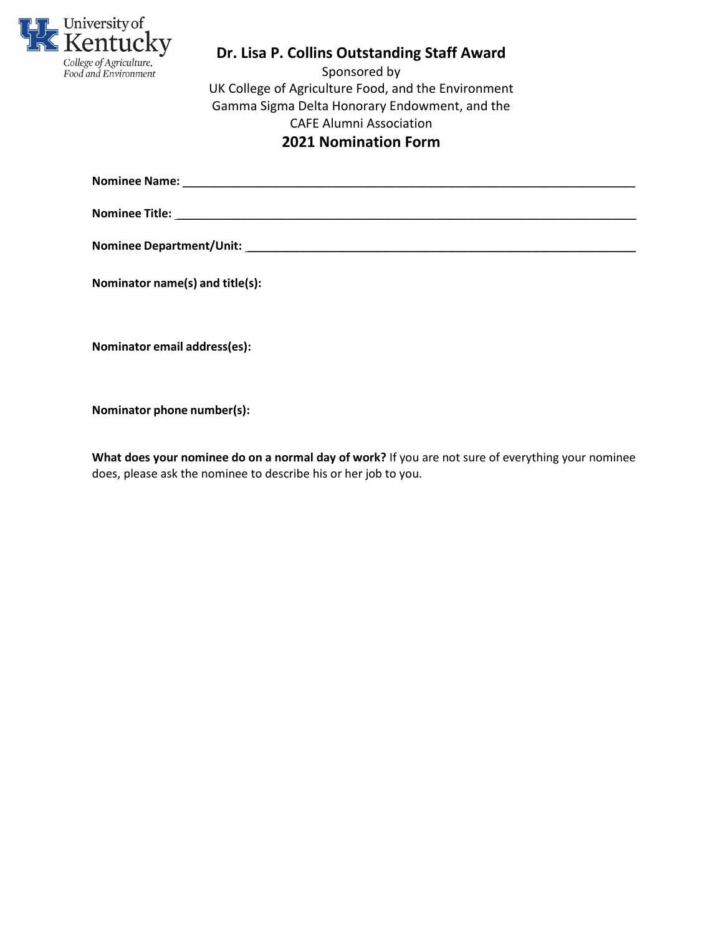

Sponsored by UK College of Agriculture Food, and the Environment Gamma Sigma Delta Honorary Endowment, and the CAFE Alumni Association **2021 Nomination Form**

**Nominee Name:** \_\_\_\_\_\_\_\_\_\_\_\_\_\_\_\_\_\_\_\_\_\_\_\_\_\_\_\_\_\_\_\_\_\_\_\_\_\_\_\_\_\_\_\_\_\_\_\_\_\_\_\_\_\_\_\_\_\_\_\_\_\_\_\_\_\_\_\_\_\_

**Nominee Title:** \_\_\_\_\_\_\_\_\_\_\_\_\_\_\_\_\_\_\_\_\_\_\_\_\_\_\_\_\_\_\_\_\_\_\_\_\_\_\_\_\_\_\_\_\_\_\_\_\_\_\_\_\_\_\_\_\_\_\_\_\_\_\_\_\_\_\_\_\_\_\_

**Nominee Department/Unit:** \_\_\_\_\_\_\_\_\_\_\_\_\_\_\_\_\_\_\_\_\_\_\_\_\_\_\_\_\_\_\_\_\_\_\_\_\_\_\_\_\_\_\_\_\_\_\_\_\_\_\_\_\_\_\_\_\_\_\_\_

**Nominator name(s) and title(s):**

**Nominator email address(es):**

**Nominator phone number(s):**

**What does your nominee do on a normal day of work?** If you are not sure of everything your nominee does, please ask the nominee to describe his or her job to you.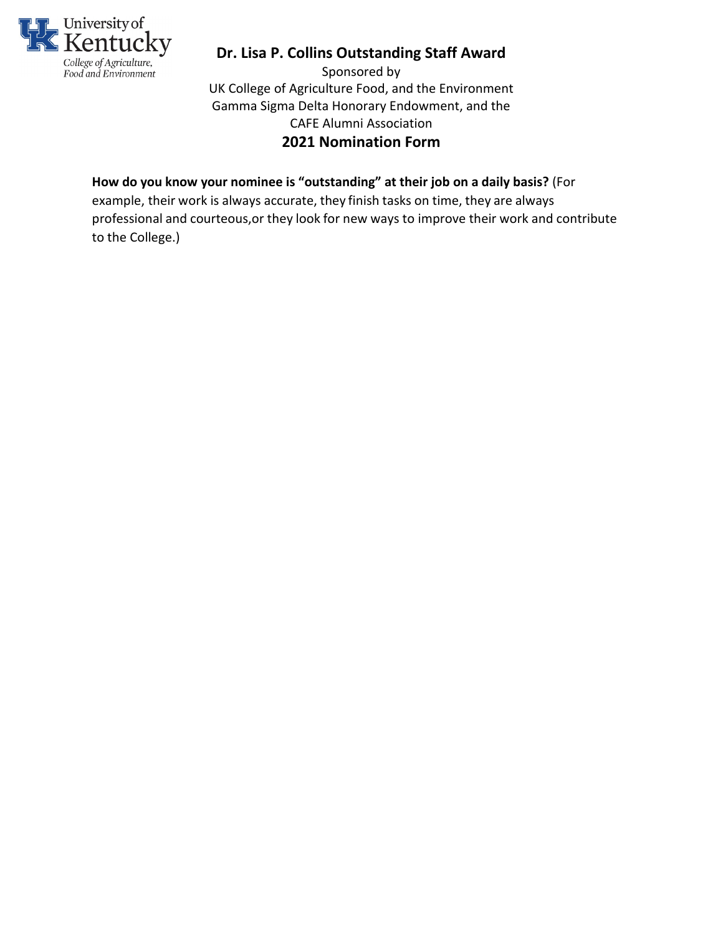

Sponsored by UK College of Agriculture Food, and the Environment Gamma Sigma Delta Honorary Endowment, and the CAFE Alumni Association **2021 Nomination Form**

### **How do you know your nominee is "outstanding" at their job on a daily basis?** (For

example, their work is always accurate, they finish tasks on time, they are always professional and courteous,or they look for new ways to improve their work and contribute to the College.)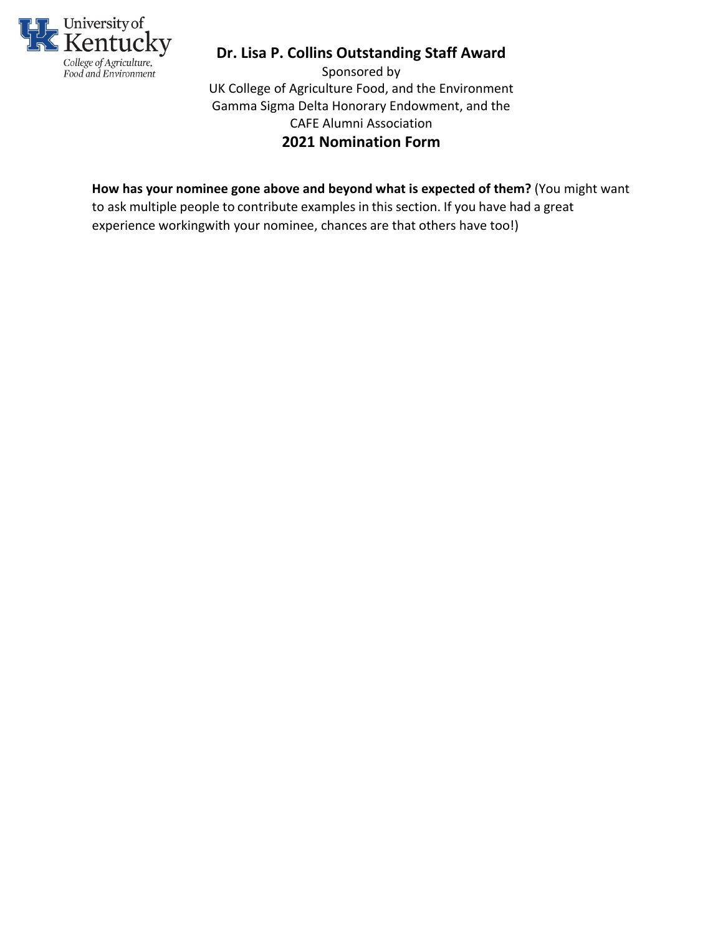

Sponsored by UK College of Agriculture Food, and the Environment Gamma Sigma Delta Honorary Endowment, and the CAFE Alumni Association **2021 Nomination Form**

### **How has your nominee gone above and beyond what is expected of them?** (You might want

to ask multiple people to contribute examples in this section. If you have had a great experience workingwith your nominee, chances are that others have too!)